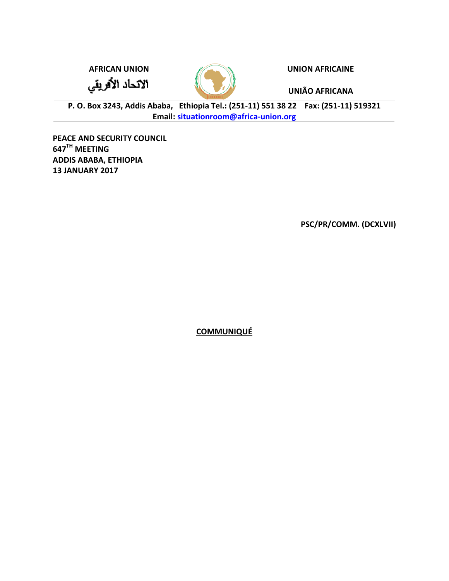الاتحاد الأفريقي



**AFRICAN UNION UNION AFRICAINE**

**UNIÃO AFRICANA**

**P. O. Box 3243, Addis Ababa, Ethiopia Tel.: (251-11) 551 38 22 Fax: (251-11) 519321 Email: [situationroom@africa-union.org](mailto:situationroom@africa-union.org)**

**PEACE AND SECURITY COUNCIL 647 TH MEETING ADDIS ABABA, ETHIOPIA 13 JANUARY 2017**

**PSC/PR/COMM. (DCXLVII)**

**COMMUNIQUÉ**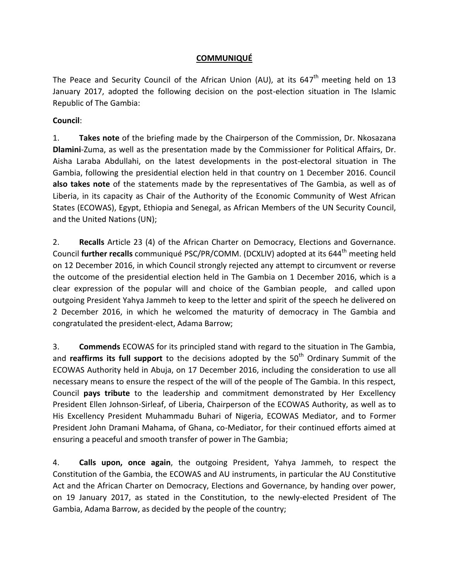## **COMMUNIQUÉ**

The Peace and Security Council of the African Union (AU), at its 647<sup>th</sup> meeting held on 13 January 2017, adopted the following decision on the post-election situation in The Islamic Republic of The Gambia:

## **Council**:

1. **Takes note** of the briefing made by the Chairperson of the Commission, Dr. Nkosazana **Dlamini**-Zuma, as well as the presentation made by the Commissioner for Political Affairs, Dr. Aisha Laraba Abdullahi, on the latest developments in the post-electoral situation in The Gambia, following the presidential election held in that country on 1 December 2016. Council **also takes note** of the statements made by the representatives of The Gambia, as well as of Liberia, in its capacity as Chair of the Authority of the Economic Community of West African States (ECOWAS), Egypt, Ethiopia and Senegal, as African Members of the UN Security Council, and the United Nations (UN);

2. **Recalls** Article 23 (4) of the African Charter on Democracy, Elections and Governance. Council **further recalls** communiqué PSC/PR/COMM. (DCXLIV) adopted at its 644<sup>th</sup> meeting held on 12 December 2016, in which Council strongly rejected any attempt to circumvent or reverse the outcome of the presidential election held in The Gambia on 1 December 2016, which is a clear expression of the popular will and choice of the Gambian people, and called upon outgoing President Yahya Jammeh to keep to the letter and spirit of the speech he delivered on 2 December 2016, in which he welcomed the maturity of democracy in The Gambia and congratulated the president-elect, Adama Barrow;

3. **Commends** ECOWAS for its principled stand with regard to the situation in The Gambia, and **reaffirms its full support** to the decisions adopted by the 50<sup>th</sup> Ordinary Summit of the ECOWAS Authority held in Abuja, on 17 December 2016, including the consideration to use all necessary means to ensure the respect of the will of the people of The Gambia. In this respect, Council **pays tribute** to the leadership and commitment demonstrated by Her Excellency President Ellen Johnson-Sirleaf, of Liberia, Chairperson of the ECOWAS Authority, as well as to His Excellency President Muhammadu Buhari of Nigeria, ECOWAS Mediator, and to Former President John Dramani Mahama, of Ghana, co-Mediator, for their continued efforts aimed at ensuring a peaceful and smooth transfer of power in The Gambia;

4. **Calls upon, once again**, the outgoing President, Yahya Jammeh, to respect the Constitution of the Gambia, the ECOWAS and AU instruments, in particular the AU Constitutive Act and the African Charter on Democracy, Elections and Governance, by handing over power, on 19 January 2017, as stated in the Constitution, to the newly-elected President of The Gambia, Adama Barrow, as decided by the people of the country;